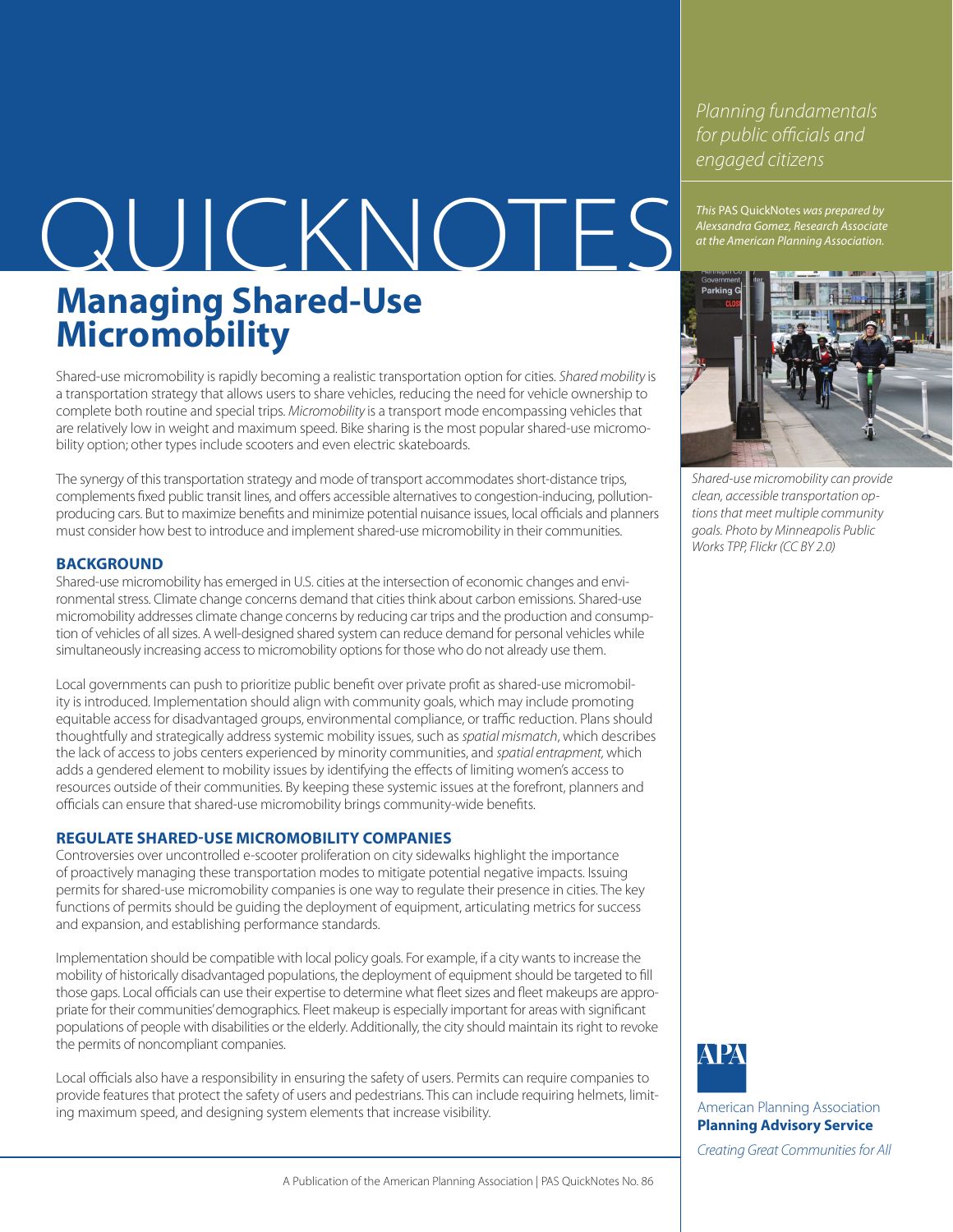*Planning fundamentals for public officials and engaged citizens*

*This* PAS QuickNotes *was prepared by* 

# This PAS QuickNotes was prepared by<br>at the American Planning Association. **Managing Shared-Use Micromobility**

Shared-use micromobility is rapidly becoming a realistic transportation option for cities. *Shared mobility* is a transportation strategy that allows users to share vehicles, reducing the need for vehicle ownership to complete both routine and special trips. *Micromobility* is a transport mode encompassing vehicles that are relatively low in weight and maximum speed. Bike sharing is the most popular shared-use micromobility option; other types include scooters and even electric skateboards.

The synergy of this transportation strategy and mode of transport accommodates short-distance trips, complements fixed public transit lines, and offers accessible alternatives to congestion-inducing, pollutionproducing cars. But to maximize benefits and minimize potential nuisance issues, local officials and planners must consider how best to introduce and implement shared-use micromobility in their communities.

## **BACKGROUND**

Shared-use micromobility has emerged in U.S. cities at the intersection of economic changes and environmental stress. Climate change concerns demand that cities think about carbon emissions. Shared-use micromobility addresses climate change concerns by reducing car trips and the production and consumption of vehicles of all sizes. A well-designed shared system can reduce demand for personal vehicles while simultaneously increasing access to micromobility options for those who do not already use them.

Local governments can push to prioritize public benefit over private profit as shared-use micromobility is introduced. Implementation should align with community goals, which may include promoting equitable access for disadvantaged groups, environmental compliance, or traffic reduction. Plans should thoughtfully and strategically address systemic mobility issues, such as *spatial mismatch*, which describes the lack of access to jobs centers experienced by minority communities, and *spatial entrapment,* which adds a gendered element to mobility issues by identifying the effects of limiting women's access to resources outside of their communities. By keeping these systemic issues at the forefront, planners and officials can ensure that shared-use micromobility brings community-wide benefits.

### **REGULATE SHARED-USE MICROMOBILITY COMPANIES**

Controversies over uncontrolled e-scooter proliferation on city sidewalks highlight the importance of proactively managing these transportation modes to mitigate potential negative impacts. Issuing permits for shared-use micromobility companies is one way to regulate their presence in cities. The key functions of permits should be guiding the deployment of equipment, articulating metrics for success and expansion, and establishing performance standards.

Implementation should be compatible with local policy goals. For example, if a city wants to increase the mobility of historically disadvantaged populations, the deployment of equipment should be targeted to fill those gaps. Local officials can use their expertise to determine what fleet sizes and fleet makeups are appropriate for their communities' demographics. Fleet makeup is especially important for areas with significant populations of people with disabilities or the elderly. Additionally, the city should maintain its right to revoke the permits of noncompliant companies.

Local officials also have a responsibility in ensuring the safety of users. Permits can require companies to provide features that protect the safety of users and pedestrians. This can include requiring helmets, limiting maximum speed, and designing system elements that increase visibility.



*Shared-use micromobility can provide clean, accessible transportation options that meet multiple community goals. Photo by Minneapolis Public Works TPP, Flickr (CC BY 2.0)*



American Planning Association **Planning Advisory Service** *Creating Great Communities for All*